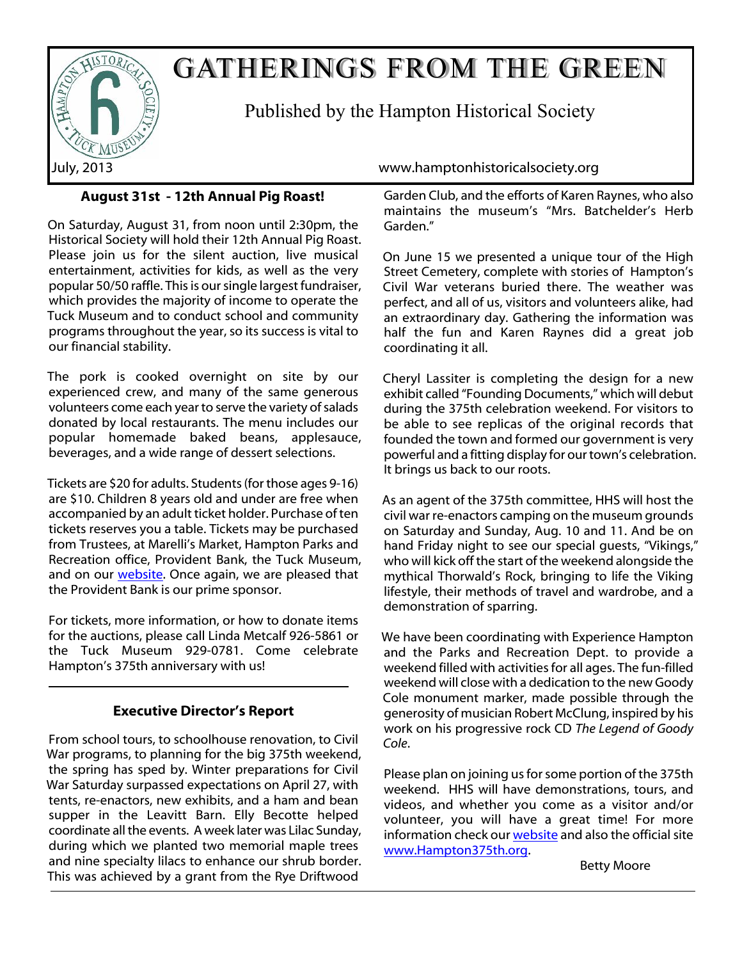

# GATHERINGS FROM THE GREEN

Published by the Hampton Historical Society

# **August 31st - 12th Annual Pig Roast!**

On Saturday, August 31, from noon until 2:30pm, the Historical Society will hold their 12th Annual Pig Roast. Please join us for the silent auction, live musical entertainment, activities for kids, as well as the very popular 50/50 raffle. This is our single largest fundraiser, which provides the majority of income to operate the Tuck Museum and to conduct school and community programs throughout the year, so its success is vital to our financial stability.

The pork is cooked overnight on site by our experienced crew, and many of the same generous volunteers come each year to serve the variety of salads donated by local restaurants. The menu includes our popular homemade baked beans, applesauce, beverages, and a wide range of dessert selections.

Tickets are \$20 for adults. Students (for those ages 9-16) are \$10. Children 8 years old and under are free when accompanied by an adult ticket holder. Purchase of ten tickets reserves you a table. Tickets may be purchased from Trustees, at Marelli's Market, Hampton Parks and Recreation office, Provident Bank, the Tuck Museum, and on our [website](http://www.hamptonhistoricalsociety.org/pigroast.htm). Once again, we are pleased that the Provident Bank is our prime sponsor.

For tickets, more information, or how to donate items for the auctions, please call Linda Metcalf 926-5861 or the Tuck Museum 929-0781. Come celebrate Hampton's 375th anniversary with us!

# **Executive Director's Report**

From school tours, to schoolhouse renovation, to Civil War programs, to planning for the big 375th weekend, the spring has sped by. Winter preparations for Civil War Saturday surpassed expectations on April 27, with tents, re-enactors, new exhibits, and a ham and bean supper in the Leavitt Barn. Elly Becotte helped coordinate all the events. A week later was Lilac Sunday, during which we planted two memorial maple trees and nine specialty lilacs to enhance our shrub border. This was achieved by a grant from the Rye Driftwood

July, 2013 www.hamptonhistoricalsociety.org

Garden Club, and the efforts of Karen Raynes, who also maintains the museum's "Mrs. Batchelder's Herb Garden."

On June 15 we presented a unique tour of the High Street Cemetery, complete with stories of Hampton's Civil War veterans buried there. The weather was perfect, and all of us, visitors and volunteers alike, had an extraordinary day. Gathering the information was half the fun and Karen Raynes did a great job coordinating it all.

Cheryl Lassiter is completing the design for a new exhibit called "Founding Documents," which will debut during the 375th celebration weekend. For visitors to be able to see replicas of the original records that founded the town and formed our government is very powerful and a fitting display for our town's celebration. It brings us back to our roots.

As an agent of the 375th committee, HHS will host the civil war re-enactors camping on the museum grounds on Saturday and Sunday, Aug. 10 and 11. And be on hand Friday night to see our special guests, "Vikings," who will kick off the start of the weekend alongside the mythical Thorwald's Rock, bringing to life the Viking lifestyle, their methods of travel and wardrobe, and a demonstration of sparring.

We have been coordinating with Experience Hampton and the Parks and Recreation Dept. to provide a weekend filled with activities for all ages. The fun-filled weekend will close with a dedication to the new Goody Cole monument marker, made possible through the generosity of musician Robert McClung, inspired by his work on his progressive rock CD *The Legend of Goody Cole*.

Please plan on joining us for some portion of the 375th weekend. HHS will have demonstrations, tours, and videos, and whether you come as a visitor and/or volunteer, you will have a great time! For more information check our [website](http://www.hamptonhistoricalsociety.org/index.htm) and also the official site [www.Hampton375th.org.](http://www.hampton375th.org/)

Betty Moore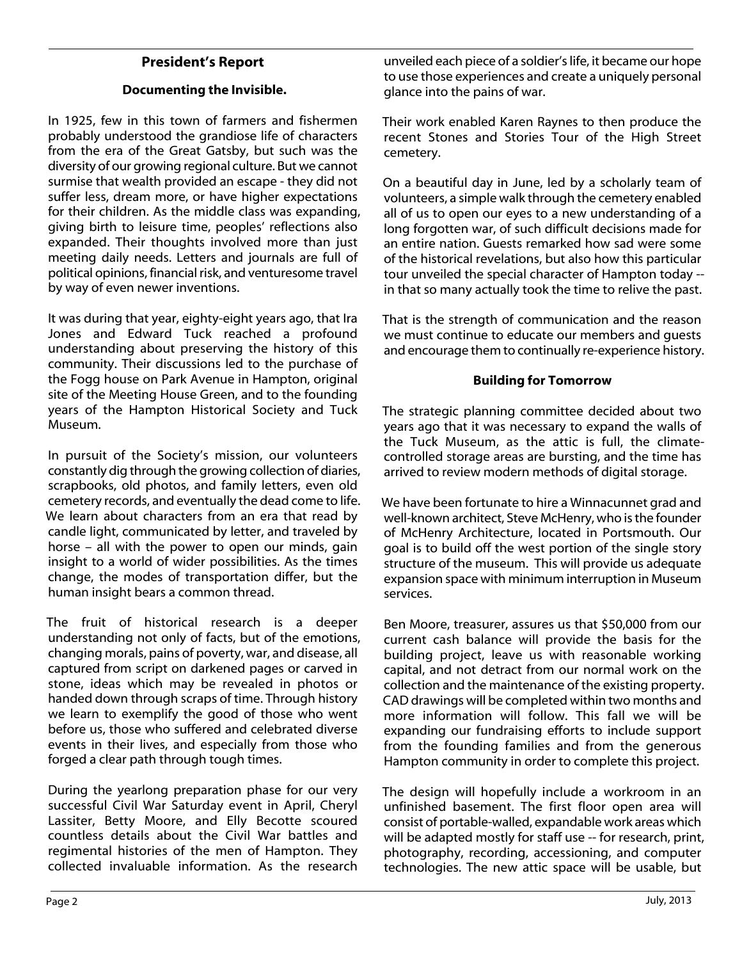# **President's Report**

# **Documenting the Invisible.**

In 1925, few in this town of farmers and fishermen probably understood the grandiose life of characters from the era of the Great Gatsby, but such was the diversity of our growing regional culture. But we cannot surmise that wealth provided an escape - they did not suffer less, dream more, or have higher expectations for their children. As the middle class was expanding, giving birth to leisure time, peoples' reflections also expanded. Their thoughts involved more than just meeting daily needs. Letters and journals are full of political opinions, financial risk, and venturesome travel by way of even newer inventions.

It was during that year, eighty-eight years ago, that Ira Jones and Edward Tuck reached a profound understanding about preserving the history of this community. Their discussions led to the purchase of the Fogg house on Park Avenue in Hampton, original site of the Meeting House Green, and to the founding years of the Hampton Historical Society and Tuck Museum.

In pursuit of the Society's mission, our volunteers constantly dig through the growing collection of diaries, scrapbooks, old photos, and family letters, even old cemetery records, and eventually the dead come to life. We learn about characters from an era that read by candle light, communicated by letter, and traveled by horse – all with the power to open our minds, gain insight to a world of wider possibilities. As the times change, the modes of transportation differ, but the human insight bears a common thread.

The fruit of historical research is a deeper understanding not only of facts, but of the emotions, changing morals, pains of poverty, war, and disease, all captured from script on darkened pages or carved in stone, ideas which may be revealed in photos or handed down through scraps of time. Through history we learn to exemplify the good of those who went before us, those who suffered and celebrated diverse events in their lives, and especially from those who forged a clear path through tough times.

During the yearlong preparation phase for our very successful Civil War Saturday event in April, Cheryl Lassiter, Betty Moore, and Elly Becotte scoured countless details about the Civil War battles and regimental histories of the men of Hampton. They collected invaluable information. As the research unveiled each piece of a soldier's life, it became our hope to use those experiences and create a uniquely personal glance into the pains of war.

Their work enabled Karen Raynes to then produce the recent Stones and Stories Tour of the High Street cemetery.

On a beautiful day in June, led by a scholarly team of volunteers, a simple walk through the cemetery enabled all of us to open our eyes to a new understanding of a long forgotten war, of such difficult decisions made for an entire nation. Guests remarked how sad were some of the historical revelations, but also how this particular tour unveiled the special character of Hampton today - in that so many actually took the time to relive the past.

That is the strength of communication and the reason we must continue to educate our members and guests and encourage them to continually re-experience history.

### **Building for Tomorrow**

The strategic planning committee decided about two years ago that it was necessary to expand the walls of the Tuck Museum, as the attic is full, the climatecontrolled storage areas are bursting, and the time has arrived to review modern methods of digital storage.

We have been fortunate to hire a Winnacunnet grad and well-known architect, Steve McHenry, who is the founder of McHenry Architecture, located in Portsmouth. Our goal is to build off the west portion of the single story structure of the museum. This will provide us adequate expansion space with minimum interruption in Museum services.

Ben Moore, treasurer, assures us that \$50,000 from our current cash balance will provide the basis for the building project, leave us with reasonable working capital, and not detract from our normal work on the collection and the maintenance of the existing property. CAD drawings will be completed within two months and more information will follow. This fall we will be expanding our fundraising efforts to include support from the founding families and from the generous Hampton community in order to complete this project.

The design will hopefully include a workroom in an unfinished basement. The first floor open area will consist of portable-walled, expandable work areas which will be adapted mostly for staff use -- for research, print, photography, recording, accessioning, and computer technologies. The new attic space will be usable, but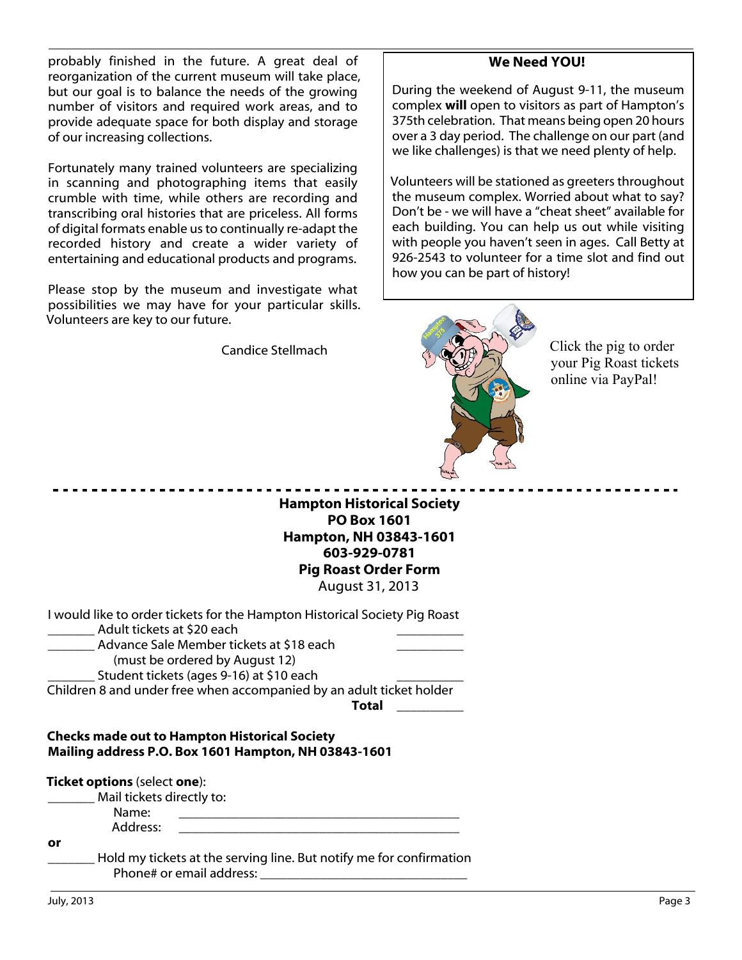probably finished in the future. A great deal of reorganization of the current museum will take place, but our goal is to balance the needs of the growing number of visitors and required work areas, and to provide adequate space for both display and storage of our increasing collections.

Fortunately many trained volunteers are specializing in scanning and photographing items that easily crumble with time, while others are recording and transcribing oral histories that are priceless. All forms of digital formats enable us to continually re-adapt the recorded history and create a wider variety of entertaining and educational products and programs.

Please stop by the museum and investigate what possibilities we may have for your particular skills. Volunteers are key to our future.

Candice Stellmach

# **We Need YOU!**

During the weekend of August 9-11, the museum complex **will** open to visitors as part of Hampton's 375th celebration. That means being open 20 hours over a 3 day period. The challenge on our part (and we like challenges) is that we need plenty of help.

Volunteers will be stationed as greeters throughout the museum complex. Worried about what to say? Don't be - we will have a "cheat sheet" available for each building. You can help us out while visiting with people you haven't seen in ages. Call Betty at 926-2543 to volunteer for a time slot and find out how you can be part of history!



Click the pig to order your Pig Roast tickets online via PayPal!

**Hampton Historical Society PO Box 1601 Hampton, NH 03843-1601 603-929-0781 Pig Roast Order Form** August 31, 2013

| I would like to order tickets for the Hampton Historical Society Pig Roast<br>Adult tickets at \$20 each<br>Advance Sale Member tickets at \$18 each<br>(must be ordered by August 12)<br>Student tickets (ages 9-16) at \$10 each |       |
|------------------------------------------------------------------------------------------------------------------------------------------------------------------------------------------------------------------------------------|-------|
| Children 8 and under free when accompanied by an adult ticket holder                                                                                                                                                               |       |
|                                                                                                                                                                                                                                    | Total |
| <b>Checks made out to Hampton Historical Society</b><br>Mailing address P.O. Box 1601 Hampton, NH 03843-1601                                                                                                                       |       |
| <b>Ticket options</b> (select one):                                                                                                                                                                                                |       |
| Mail tickets directly to:                                                                                                                                                                                                          |       |
| Name:                                                                                                                                                                                                                              |       |
| Address:                                                                                                                                                                                                                           |       |

**or**

Hold my tickets at the serving line. But notify me for confirmation Phone# or email address: